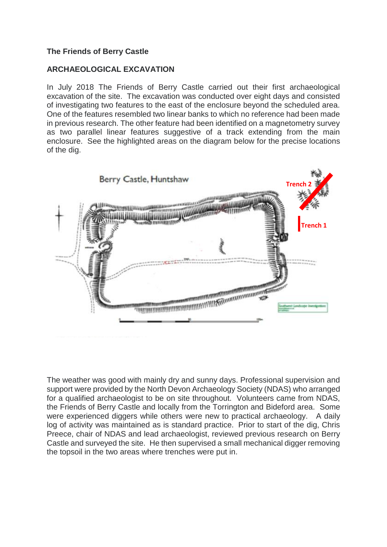# **The Friends of Berry Castle**

## **ARCHAEOLOGICAL EXCAVATION**

In July 2018 The Friends of Berry Castle carried out their first archaeological excavation of the site. The excavation was conducted over eight days and consisted of investigating two features to the east of the enclosure beyond the scheduled area. One of the features resembled two linear banks to which no reference had been made in previous research. The other feature had been identified on a magnetometry survey as two parallel linear features suggestive of a track extending from the main enclosure. See the highlighted areas on the diagram below for the precise locations of the dig.



The weather was good with mainly dry and sunny days. Professional supervision and support were provided by the North Devon Archaeology Society (NDAS) who arranged for a qualified archaeologist to be on site throughout. Volunteers came from NDAS, the Friends of Berry Castle and locally from the Torrington and Bideford area. Some were experienced diggers while others were new to practical archaeology. A daily log of activity was maintained as is standard practice. Prior to start of the dig, Chris Preece, chair of NDAS and lead archaeologist, reviewed previous research on Berry Castle and surveyed the site. He then supervised a small mechanical digger removing the topsoil in the two areas where trenches were put in.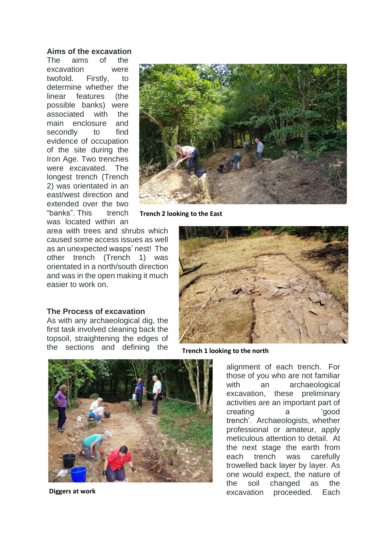#### **Aims of the excavation**

The aims of the excavation were twofold. Firstly, to determine whether the linear features (the possible banks) were associated with the main enclosure and secondly to find evidence of occupation of the site during the Iron Age. Two trenches were excavated. The longest trench (Trench 2) was orientated in an east/west direction and extended over the two "banks". This trench was located within an



**Trench 2 looking to the East**

area with trees and shrubs which caused some access issues as well as an unexpected wasps' nest! The other trench (Trench 1) was orientated in a north/south direction and was in the open making it much easier to work on.



**The Process of excavation**

As with any archaeological dig, the first task involved cleaning back the topsoil, straightening the edges of the sections and defining the

**Trench 1 looking to the north**



**Diggers at work**

alignment of each trench. For those of you who are not familiar with an archaeological excavation, these preliminary activities are an important part of creating a 'good trench'. Archaeologists, whether professional or amateur, apply meticulous attention to detail. At the next stage the earth from each trench was carefully trowelled back layer by layer. As one would expect, the nature of the soil changed as the excavation proceeded. Each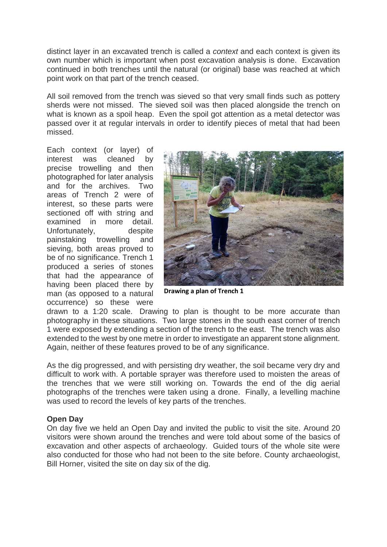distinct layer in an excavated trench is called a *context* and each context is given its own number which is important when post excavation analysis is done. Excavation continued in both trenches until the natural (or original) base was reached at which point work on that part of the trench ceased.

All soil removed from the trench was sieved so that very small finds such as pottery sherds were not missed. The sieved soil was then placed alongside the trench on what is known as a spoil heap. Even the spoil got attention as a metal detector was passed over it at regular intervals in order to identify pieces of metal that had been missed.

Each context (or layer) of interest was cleaned by precise trowelling and then photographed for later analysis and for the archives. Two areas of Trench 2 were of interest, so these parts were sectioned off with string and examined in more detail. Unfortunately, despite painstaking trowelling and sieving, both areas proved to be of no significance. Trench 1 produced a series of stones that had the appearance of having been placed there by man (as opposed to a natural occurrence) so these were



**Drawing a plan of Trench 1**

drawn to a 1:20 scale. Drawing to plan is thought to be more accurate than photography in these situations. Two large stones in the south east corner of trench 1 were exposed by extending a section of the trench to the east. The trench was also extended to the west by one metre in order to investigate an apparent stone alignment. Again, neither of these features proved to be of any significance.

As the dig progressed, and with persisting dry weather, the soil became very dry and difficult to work with. A portable sprayer was therefore used to moisten the areas of the trenches that we were still working on. Towards the end of the dig aerial photographs of the trenches were taken using a drone. Finally, a levelling machine was used to record the levels of key parts of the trenches.

#### **Open Day**

On day five we held an Open Day and invited the public to visit the site. Around 20 visitors were shown around the trenches and were told about some of the basics of excavation and other aspects of archaeology. Guided tours of the whole site were also conducted for those who had not been to the site before. County archaeologist, Bill Horner, visited the site on day six of the dig.